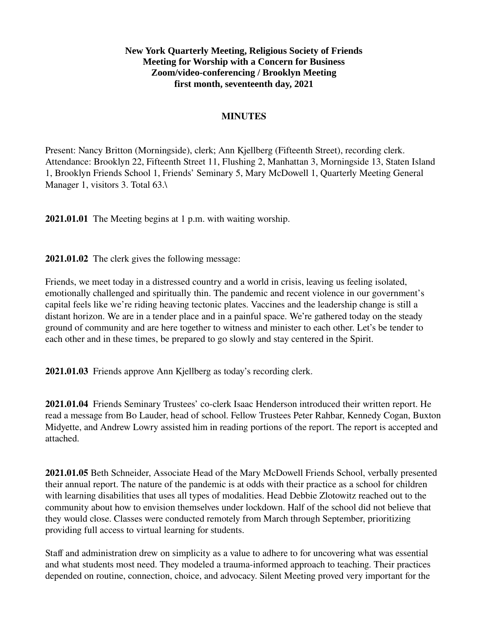## **New York Quarterly Meeting, Religious Society of Friends Meeting for Worship with a Concern for Business Zoom/video-conferencing / Brooklyn Meeting first month, seventeenth day, 2021**

#### **MINUTES**

Present: Nancy Britton (Morningside), clerk; Ann Kjellberg (Fifteenth Street), recording clerk. Attendance: Brooklyn 22, Fifteenth Street 11, Flushing 2, Manhattan 3, Morningside 13, Staten Island 1, Brooklyn Friends School 1, Friends' Seminary 5, Mary McDowell 1, Quarterly Meeting General Manager 1, visitors 3. Total 63.\

**2021.01.01** The Meeting begins at 1 p.m. with waiting worship.

**2021.01.02** The clerk gives the following message:

Friends, we meet today in a distressed country and a world in crisis, leaving us feeling isolated, emotionally challenged and spiritually thin. The pandemic and recent violence in our government's capital feels like we're riding heaving tectonic plates. Vaccines and the leadership change is still a distant horizon. We are in a tender place and in a painful space. We're gathered today on the steady ground of community and are here together to witness and minister to each other. Let's be tender to each other and in these times, be prepared to go slowly and stay centered in the Spirit.

**2021.01.03** Friends approve Ann Kjellberg as today's recording clerk.

**2021.01.04** Friends Seminary Trustees' co-clerk Isaac Henderson introduced their written report. He read a message from Bo Lauder, head of school. Fellow Trustees Peter Rahbar, Kennedy Cogan, Buxton Midyette, and Andrew Lowry assisted him in reading portions of the report. The report is accepted and attached.

**2021.01.05** Beth Schneider, Associate Head of the Mary McDowell Friends School, verbally presented their annual report. The nature of the pandemic is at odds with their practice as a school for children with learning disabilities that uses all types of modalities. Head Debbie Zlotowitz reached out to the community about how to envision themselves under lockdown. Half of the school did not believe that they would close. Classes were conducted remotely from March through September, prioritizing providing full access to virtual learning for students.

Staff and administration drew on simplicity as a value to adhere to for uncovering what was essential and what students most need. They modeled a trauma-informed approach to teaching. Their practices depended on routine, connection, choice, and advocacy. Silent Meeting proved very important for the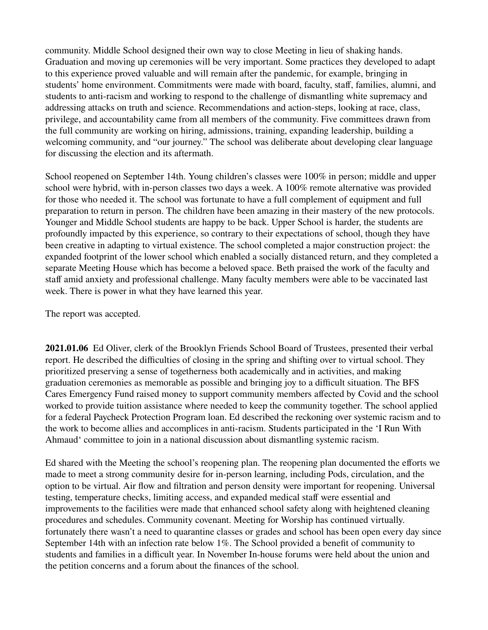community. Middle School designed their own way to close Meeting in lieu of shaking hands. Graduation and moving up ceremonies will be very important. Some practices they developed to adapt to this experience proved valuable and will remain after the pandemic, for example, bringing in students' home environment. Commitments were made with board, faculty, staff, families, alumni, and students to anti-racism and working to respond to the challenge of dismantling white supremacy and addressing attacks on truth and science. Recommendations and action-steps, looking at race, class, privilege, and accountability came from all members of the community. Five committees drawn from the full community are working on hiring, admissions, training, expanding leadership, building a welcoming community, and "our journey." The school was deliberate about developing clear language for discussing the election and its aftermath.

School reopened on September 14th. Young children's classes were 100% in person; middle and upper school were hybrid, with in-person classes two days a week. A 100% remote alternative was provided for those who needed it. The school was fortunate to have a full complement of equipment and full preparation to return in person. The children have been amazing in their mastery of the new protocols. Younger and Middle School students are happy to be back. Upper School is harder, the students are profoundly impacted by this experience, so contrary to their expectations of school, though they have been creative in adapting to virtual existence. The school completed a major construction project: the expanded footprint of the lower school which enabled a socially distanced return, and they completed a separate Meeting House which has become a beloved space. Beth praised the work of the faculty and staff amid anxiety and professional challenge. Many faculty members were able to be vaccinated last week. There is power in what they have learned this year.

The report was accepted.

**2021.01.06** Ed Oliver, clerk of the Brooklyn Friends School Board of Trustees, presented their verbal report. He described the difficulties of closing in the spring and shifting over to virtual school. They prioritized preserving a sense of togetherness both academically and in activities, and making graduation ceremonies as memorable as possible and bringing joy to a difficult situation. The BFS Cares Emergency Fund raised money to support community members affected by Covid and the school worked to provide tuition assistance where needed to keep the community together. The school applied for a federal Paycheck Protection Program loan. Ed described the reckoning over systemic racism and to the work to become allies and accomplices in anti-racism. Students participated in the 'I Run With Ahmaud' committee to join in a national discussion about dismantling systemic racism.

Ed shared with the Meeting the school's reopening plan. The reopening plan documented the efforts we made to meet a strong community desire for in-person learning, including Pods, circulation, and the option to be virtual. Air flow and filtration and person density were important for reopening. Universal testing, temperature checks, limiting access, and expanded medical staff were essential and improvements to the facilities were made that enhanced school safety along with heightened cleaning procedures and schedules. Community covenant. Meeting for Worship has continued virtually. fortunately there wasn't a need to quarantine classes or grades and school has been open every day since September 14th with an infection rate below 1%. The School provided a benefit of community to students and families in a difficult year. In November In-house forums were held about the union and the petition concerns and a forum about the finances of the school.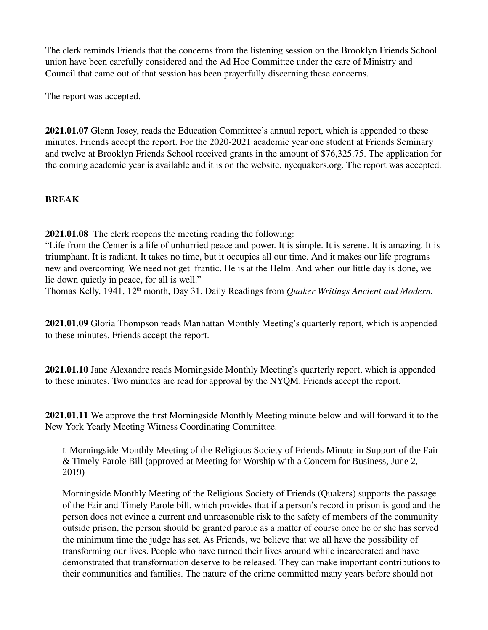The clerk reminds Friends that the concerns from the listening session on the Brooklyn Friends School union have been carefully considered and the Ad Hoc Committee under the care of Ministry and Council that came out of that session has been prayerfully discerning these concerns.

The report was accepted.

**2021.01.07** Glenn Josey, reads the Education Committee's annual report, which is appended to these minutes. Friends accept the report. For the 2020-2021 academic year one student at Friends Seminary and twelve at Brooklyn Friends School received grants in the amount of \$76,325.75. The application for the coming academic year is available and it is on the website, nycquakers.org. The report was accepted.

## **BREAK**

**2021.01.08** The clerk reopens the meeting reading the following:

"Life from the Center is a life of unhurried peace and power. It is simple. It is serene. It is amazing. It is triumphant. It is radiant. It takes no time, but it occupies all our time. And it makes our life programs new and overcoming. We need not get frantic. He is at the Helm. And when our little day is done, we lie down quietly in peace, for all is well."

Thomas Kelly, 1941, 12th month, Day 31. Daily Readings from *Quaker Writings Ancient and Modern.* 

**2021.01.09** Gloria Thompson reads Manhattan Monthly Meeting's quarterly report, which is appended to these minutes. Friends accept the report.

**2021.01.10** Jane Alexandre reads Morningside Monthly Meeting's quarterly report, which is appended to these minutes. Two minutes are read for approval by the NYQM. Friends accept the report.

**2021.01.11** We approve the first Morningside Monthly Meeting minute below and will forward it to the New York Yearly Meeting Witness Coordinating Committee.

I. Morningside Monthly Meeting of the Religious Society of Friends Minute in Support of the Fair & Timely Parole Bill (approved at Meeting for Worship with a Concern for Business, June 2, 2019)

Morningside Monthly Meeting of the Religious Society of Friends (Quakers) supports the passage of the Fair and Timely Parole bill, which provides that if a person's record in prison is good and the person does not evince a current and unreasonable risk to the safety of members of the community outside prison, the person should be granted parole as a matter of course once he or she has served the minimum time the judge has set. As Friends, we believe that we all have the possibility of transforming our lives. People who have turned their lives around while incarcerated and have demonstrated that transformation deserve to be released. They can make important contributions to their communities and families. The nature of the crime committed many years before should not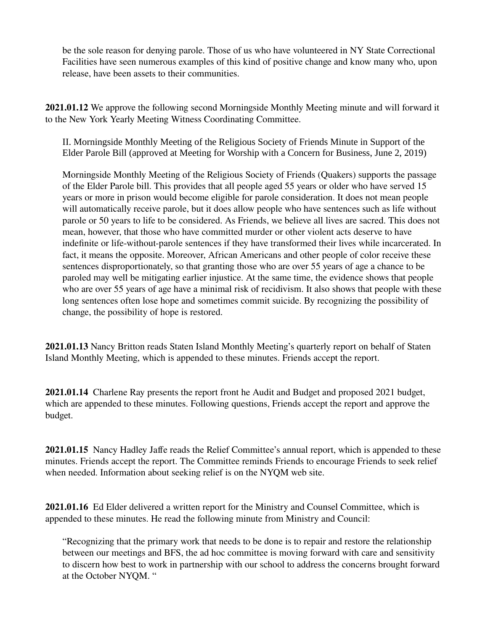be the sole reason for denying parole. Those of us who have volunteered in NY State Correctional Facilities have seen numerous examples of this kind of positive change and know many who, upon release, have been assets to their communities.

**2021.01.12** We approve the following second Morningside Monthly Meeting minute and will forward it to the New York Yearly Meeting Witness Coordinating Committee.

II. Morningside Monthly Meeting of the Religious Society of Friends Minute in Support of the Elder Parole Bill (approved at Meeting for Worship with a Concern for Business, June 2, 2019)

Morningside Monthly Meeting of the Religious Society of Friends (Quakers) supports the passage of the Elder Parole bill. This provides that all people aged 55 years or older who have served 15 years or more in prison would become eligible for parole consideration. It does not mean people will automatically receive parole, but it does allow people who have sentences such as life without parole or 50 years to life to be considered. As Friends, we believe all lives are sacred. This does not mean, however, that those who have committed murder or other violent acts deserve to have indefinite or life-without-parole sentences if they have transformed their lives while incarcerated. In fact, it means the opposite. Moreover, African Americans and other people of color receive these sentences disproportionately, so that granting those who are over 55 years of age a chance to be paroled may well be mitigating earlier injustice. At the same time, the evidence shows that people who are over 55 years of age have a minimal risk of recidivism. It also shows that people with these long sentences often lose hope and sometimes commit suicide. By recognizing the possibility of change, the possibility of hope is restored.

**2021.01.13** Nancy Britton reads Staten Island Monthly Meeting's quarterly report on behalf of Staten Island Monthly Meeting, which is appended to these minutes. Friends accept the report.

**2021.01.14** Charlene Ray presents the report front he Audit and Budget and proposed 2021 budget, which are appended to these minutes. Following questions, Friends accept the report and approve the budget.

**2021.01.15** Nancy Hadley Jaffe reads the Relief Committee's annual report, which is appended to these minutes. Friends accept the report. The Committee reminds Friends to encourage Friends to seek relief when needed. Information about seeking relief is on the NYQM web site.

**2021.01.16** Ed Elder delivered a written report for the Ministry and Counsel Committee, which is appended to these minutes. He read the following minute from Ministry and Council:

"Recognizing that the primary work that needs to be done is to repair and restore the relationship between our meetings and BFS, the ad hoc committee is moving forward with care and sensitivity to discern how best to work in partnership with our school to address the concerns brought forward at the October NYQM. "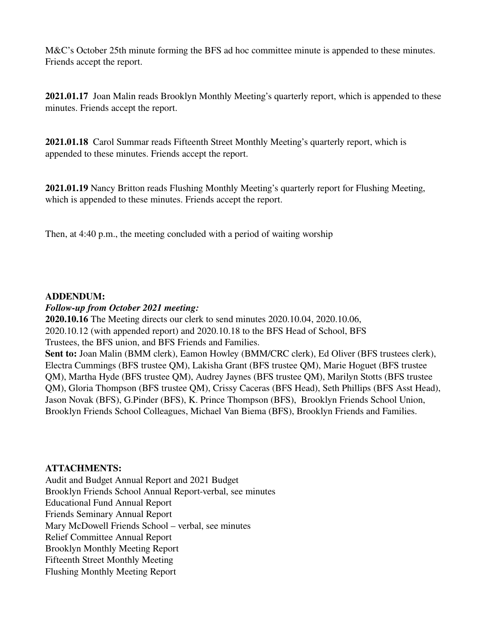M&C's October 25th minute forming the BFS ad hoc committee minute is appended to these minutes. Friends accept the report.

**2021.01.17** Joan Malin reads Brooklyn Monthly Meeting's quarterly report, which is appended to these minutes. Friends accept the report.

**2021.01.18** Carol Summar reads Fifteenth Street Monthly Meeting's quarterly report, which is appended to these minutes. Friends accept the report.

**2021.01.19** Nancy Britton reads Flushing Monthly Meeting's quarterly report for Flushing Meeting, which is appended to these minutes. Friends accept the report.

Then, at 4:40 p.m., the meeting concluded with a period of waiting worship

## **ADDENDUM:**

## *Follow-up from October 2021 meeting:*

**2020.10.16** The Meeting directs our clerk to send minutes 2020.10.04, 2020.10.06, 2020.10.12 (with appended report) and 2020.10.18 to the BFS Head of School, BFS Trustees, the BFS union, and BFS Friends and Families.

Sent to: Joan Malin (BMM clerk), Eamon Howley (BMM/CRC clerk), Ed Oliver (BFS trustees clerk), Electra Cummings (BFS trustee QM), Lakisha Grant (BFS trustee QM), Marie Hoguet (BFS trustee QM), Martha Hyde (BFS trustee QM), Audrey Jaynes (BFS trustee QM), Marilyn Stotts (BFS trustee QM), Gloria Thompson (BFS trustee QM), Crissy Caceras (BFS Head), Seth Phillips (BFS Asst Head), Jason Novak (BFS), G.Pinder (BFS), K. Prince Thompson (BFS), Brooklyn Friends School Union, Brooklyn Friends School Colleagues, Michael Van Biema (BFS), Brooklyn Friends and Families.

# **ATTACHMENTS:**

Audit and Budget Annual Report and 2021 Budget Brooklyn Friends School Annual Report-verbal, see minutes Educational Fund Annual Report Friends Seminary Annual Report Mary McDowell Friends School – verbal, see minutes Relief Committee Annual Report Brooklyn Monthly Meeting Report Fifteenth Street Monthly Meeting Flushing Monthly Meeting Report